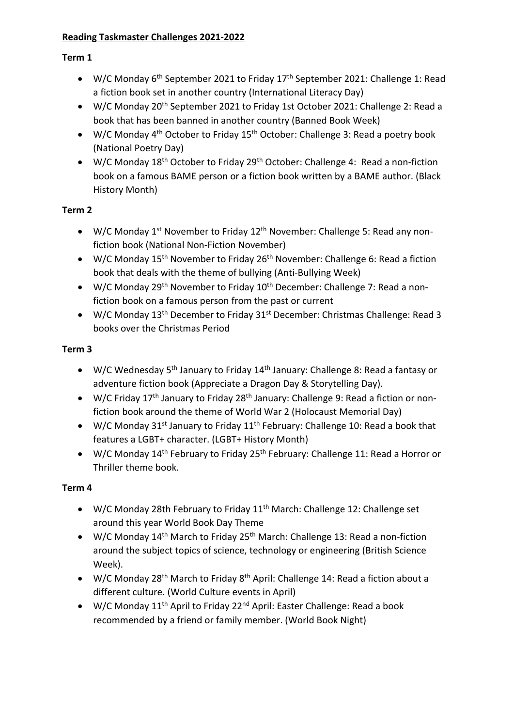## **Reading Taskmaster Challenges 2021-2022**

## **Term 1**

- W/C Monday 6<sup>th</sup> September 2021 to Friday 17<sup>th</sup> September 2021: Challenge 1: Read a fiction book set in another country (International Literacy Day)
- W/C Monday 20<sup>th</sup> September 2021 to Friday 1st October 2021: Challenge 2: Read a book that has been banned in another country (Banned Book Week)
- W/C Monday 4<sup>th</sup> October to Friday 15<sup>th</sup> October: Challenge 3: Read a poetry book (National Poetry Day)
- W/C Monday 18<sup>th</sup> October to Friday 29<sup>th</sup> October: Challenge 4: Read a non-fiction book on a famous BAME person or a fiction book written by a BAME author. (Black History Month)

# **Term 2**

- W/C Monday  $1^{st}$  November to Friday  $12^{th}$  November: Challenge 5: Read any nonfiction book (National Non-Fiction November)
- W/C Monday 15<sup>th</sup> November to Friday 26<sup>th</sup> November: Challenge 6: Read a fiction book that deals with the theme of bullying (Anti-Bullying Week)
- W/C Monday 29<sup>th</sup> November to Friday  $10^{th}$  December: Challenge 7: Read a nonfiction book on a famous person from the past or current
- W/C Monday 13<sup>th</sup> December to Friday 31<sup>st</sup> December: Christmas Challenge: Read 3 books over the Christmas Period

# **Term 3**

- W/C Wednesday 5<sup>th</sup> January to Friday 14<sup>th</sup> January: Challenge 8: Read a fantasy or adventure fiction book (Appreciate a Dragon Day & Storytelling Day).
- W/C Friday 17<sup>th</sup> January to Friday 28<sup>th</sup> January: Challenge 9: Read a fiction or nonfiction book around the theme of World War 2 (Holocaust Memorial Day)
- W/C Monday 31<sup>st</sup> January to Friday 11<sup>th</sup> February: Challenge 10: Read a book that features a LGBT+ character. (LGBT+ History Month)
- W/C Monday 14<sup>th</sup> February to Friday 25<sup>th</sup> February: Challenge 11: Read a Horror or Thriller theme book.

# **Term 4**

- W/C Monday 28th February to Friday 11<sup>th</sup> March: Challenge 12: Challenge set around this year World Book Day Theme
- W/C Monday 14<sup>th</sup> March to Friday 25<sup>th</sup> March: Challenge 13: Read a non-fiction around the subject topics of science, technology or engineering (British Science Week).
- W/C Monday 28<sup>th</sup> March to Friday 8<sup>th</sup> April: Challenge 14: Read a fiction about a different culture. (World Culture events in April)
- W/C Monday 11<sup>th</sup> April to Friday 22<sup>nd</sup> April: Easter Challenge: Read a book recommended by a friend or family member. (World Book Night)